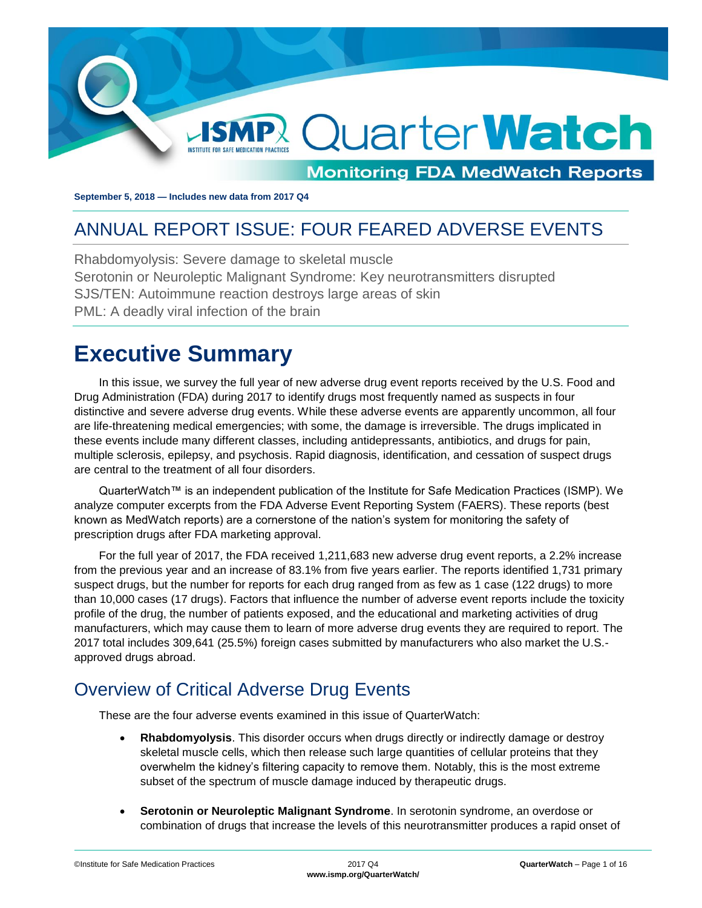

**September 5, 2018 — Includes new data from 2017 Q4**

## <span id="page-0-0"></span>ANNUAL REPORT ISSUE: FOUR FEARED ADVERSE EVENTS

Rhabdomyolysis: Severe damage to skeletal muscle Serotonin or Neuroleptic Malignant Syndrome: Key neurotransmitters disrupted SJS/TEN: Autoimmune reaction destroys large areas of skin PML: A deadly viral infection of the brain

## <span id="page-0-1"></span>**Executive Summary**

In this issue, we survey the full year of new adverse drug event reports received by the U.S. Food and Drug Administration (FDA) during 2017 to identify drugs most frequently named as suspects in four distinctive and severe adverse drug events. While these adverse events are apparently uncommon, all four are life-threatening medical emergencies; with some, the damage is irreversible. The drugs implicated in these events include many different classes, including antidepressants, antibiotics, and drugs for pain, multiple sclerosis, epilepsy, and psychosis. Rapid diagnosis, identification, and cessation of suspect drugs are central to the treatment of all four disorders.

QuarterWatch™ is an independent publication of the Institute for Safe Medication Practices (ISMP). We analyze computer excerpts from the FDA Adverse Event Reporting System (FAERS). These reports (best known as MedWatch reports) are a cornerstone of the nation's system for monitoring the safety of prescription drugs after FDA marketing approval.

For the full year of 2017, the FDA received 1,211,683 new adverse drug event reports, a 2.2% increase from the previous year and an increase of 83.1% from five years earlier. The reports identified 1,731 primary suspect drugs, but the number for reports for each drug ranged from as few as 1 case (122 drugs) to more than 10,000 cases (17 drugs). Factors that influence the number of adverse event reports include the toxicity profile of the drug, the number of patients exposed, and the educational and marketing activities of drug manufacturers, which may cause them to learn of more adverse drug events they are required to report. The 2017 total includes 309,641 (25.5%) foreign cases submitted by manufacturers who also market the U.S. approved drugs abroad.

## <span id="page-0-2"></span>Overview of Critical Adverse Drug Events

These are the four adverse events examined in this issue of QuarterWatch:

- **Rhabdomyolysis**. This disorder occurs when drugs directly or indirectly damage or destroy skeletal muscle cells, which then release such large quantities of cellular proteins that they overwhelm the kidney's filtering capacity to remove them. Notably, this is the most extreme subset of the spectrum of muscle damage induced by therapeutic drugs.
- **Serotonin or Neuroleptic Malignant Syndrome**. In serotonin syndrome, an overdose or combination of drugs that increase the levels of this neurotransmitter produces a rapid onset of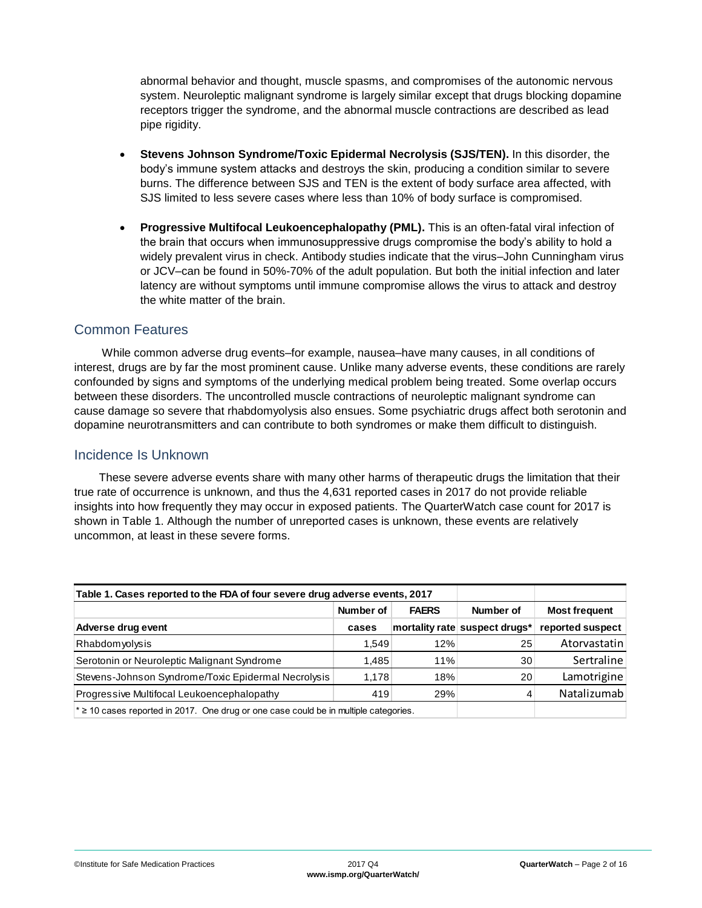abnormal behavior and thought, muscle spasms, and compromises of the autonomic nervous system. Neuroleptic malignant syndrome is largely similar except that drugs blocking dopamine receptors trigger the syndrome, and the abnormal muscle contractions are described as lead pipe rigidity.

- **Stevens Johnson Syndrome/Toxic Epidermal Necrolysis (SJS/TEN).** In this disorder, the body's immune system attacks and destroys the skin, producing a condition similar to severe burns. The difference between SJS and TEN is the extent of body surface area affected, with SJS limited to less severe cases where less than 10% of body surface is compromised.
- **Progressive Multifocal Leukoencephalopathy (PML).** This is an often-fatal viral infection of the brain that occurs when immunosuppressive drugs compromise the body's ability to hold a widely prevalent virus in check. Antibody studies indicate that the virus–John Cunningham virus or JCV–can be found in 50%-70% of the adult population. But both the initial infection and later latency are without symptoms until immune compromise allows the virus to attack and destroy the white matter of the brain.

#### Common Features

While common adverse drug events–for example, nausea–have many causes, in all conditions of interest, drugs are by far the most prominent cause. Unlike many adverse events, these conditions are rarely confounded by signs and symptoms of the underlying medical problem being treated. Some overlap occurs between these disorders. The uncontrolled muscle contractions of neuroleptic malignant syndrome can cause damage so severe that rhabdomyolysis also ensues. Some psychiatric drugs affect both serotonin and dopamine neurotransmitters and can contribute to both syndromes or make them difficult to distinguish.

#### Incidence Is Unknown

These severe adverse events share with many other harms of therapeutic drugs the limitation that their true rate of occurrence is unknown, and thus the 4,631 reported cases in 2017 do not provide reliable insights into how frequently they may occur in exposed patients. The QuarterWatch case count for 2017 is shown in Table 1. Although the number of unreported cases is unknown, these events are relatively uncommon, at least in these severe forms.

| Table 1. Cases reported to the FDA of four severe drug adverse events, 2017                   |           |              |                               |                      |
|-----------------------------------------------------------------------------------------------|-----------|--------------|-------------------------------|----------------------|
|                                                                                               | Number of | <b>FAERS</b> | Number of                     | <b>Most frequent</b> |
| Adverse drug event                                                                            | cases     |              | mortality rate suspect drugs* | reported suspect     |
| Rhabdomyolysis                                                                                | 1.549     | 12%          | 25                            | Atorvastatin         |
| Serotonin or Neuroleptic Malignant Syndrome                                                   | 1.485     | 11%          | 30                            | Sertraline           |
| Stevens-Johnson Syndrome/Toxic Epidermal Necrolysis                                           | 1.178     | 18%          | 20                            | Lamotrigine          |
| Progressive Multifocal Leukoencephalopathy                                                    | 419       | 29%          | 4                             | Natalizumab          |
| $\star \geq 10$ cases reported in 2017. One drug or one case could be in multiple categories. |           |              |                               |                      |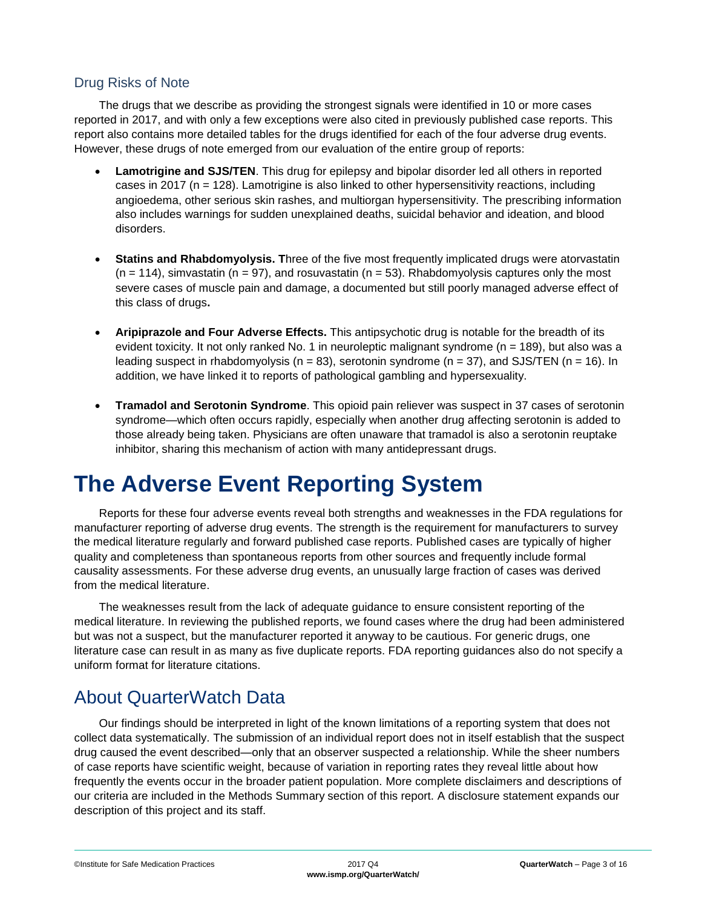#### Drug Risks of Note

The drugs that we describe as providing the strongest signals were identified in 10 or more cases reported in 2017, and with only a few exceptions were also cited in previously published case reports. This report also contains more detailed tables for the drugs identified for each of the four adverse drug events. However, these drugs of note emerged from our evaluation of the entire group of reports:

- **Lamotrigine and SJS/TEN**. This drug for epilepsy and bipolar disorder led all others in reported cases in 2017 (n = 128). Lamotrigine is also linked to other hypersensitivity reactions, including angioedema, other serious skin rashes, and multiorgan hypersensitivity. The prescribing information also includes warnings for sudden unexplained deaths, suicidal behavior and ideation, and blood disorders.
- **Statins and Rhabdomyolysis. T**hree of the five most frequently implicated drugs were atorvastatin  $(n = 114)$ , simvastatin  $(n = 97)$ , and rosuvastatin  $(n = 53)$ . Rhabdomyolysis captures only the most severe cases of muscle pain and damage, a documented but still poorly managed adverse effect of this class of drugs**.**
- **Aripiprazole and Four Adverse Effects.** This antipsychotic drug is notable for the breadth of its evident toxicity. It not only ranked No. 1 in neuroleptic malignant syndrome (n = 189), but also was a leading suspect in rhabdomyolysis ( $n = 83$ ), serotonin syndrome ( $n = 37$ ), and SJS/TEN ( $n = 16$ ). In addition, we have linked it to reports of pathological gambling and hypersexuality.
- **Tramadol and Serotonin Syndrome**. This opioid pain reliever was suspect in 37 cases of serotonin syndrome—which often occurs rapidly, especially when another drug affecting serotonin is added to those already being taken. Physicians are often unaware that tramadol is also a serotonin reuptake inhibitor, sharing this mechanism of action with many antidepressant drugs.

# <span id="page-2-0"></span>**The Adverse Event Reporting System**

Reports for these four adverse events reveal both strengths and weaknesses in the FDA regulations for manufacturer reporting of adverse drug events. The strength is the requirement for manufacturers to survey the medical literature regularly and forward published case reports. Published cases are typically of higher quality and completeness than spontaneous reports from other sources and frequently include formal causality assessments. For these adverse drug events, an unusually large fraction of cases was derived from the medical literature.

The weaknesses result from the lack of adequate guidance to ensure consistent reporting of the medical literature. In reviewing the published reports, we found cases where the drug had been administered but was not a suspect, but the manufacturer reported it anyway to be cautious. For generic drugs, one literature case can result in as many as five duplicate reports. FDA reporting guidances also do not specify a uniform format for literature citations.

## <span id="page-2-1"></span>About QuarterWatch Data

Our findings should be interpreted in light of the known limitations of a reporting system that does not collect data systematically. The submission of an individual report does not in itself establish that the suspect drug caused the event described—only that an observer suspected a relationship. While the sheer numbers of case reports have scientific weight, because of variation in reporting rates they reveal little about how frequently the events occur in the broader patient population. More complete disclaimers and descriptions of our criteria are included in the Methods Summary section of this report. A disclosure statement expands our description of this project and its staff.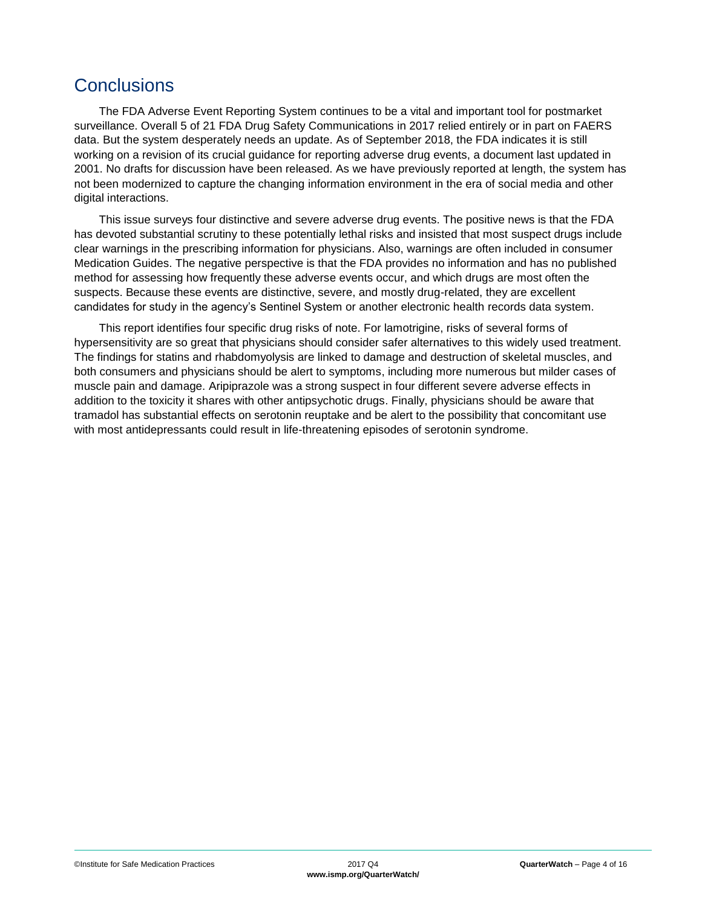### <span id="page-3-0"></span>**Conclusions**

The FDA Adverse Event Reporting System continues to be a vital and important tool for postmarket surveillance. Overall 5 of 21 FDA Drug Safety Communications in 2017 relied entirely or in part on FAERS data. But the system desperately needs an update. As of September 2018, the FDA indicates it is still working on a revision of its crucial guidance for reporting adverse drug events, a document last updated in 2001. No drafts for discussion have been released. As we have previously reported at length, the system has not been modernized to capture the changing information environment in the era of social media and other digital interactions.

This issue surveys four distinctive and severe adverse drug events. The positive news is that the FDA has devoted substantial scrutiny to these potentially lethal risks and insisted that most suspect drugs include clear warnings in the prescribing information for physicians. Also, warnings are often included in consumer Medication Guides. The negative perspective is that the FDA provides no information and has no published method for assessing how frequently these adverse events occur, and which drugs are most often the suspects. Because these events are distinctive, severe, and mostly drug-related, they are excellent candidates for study in the agency's Sentinel System or another electronic health records data system.

This report identifies four specific drug risks of note. For lamotrigine, risks of several forms of hypersensitivity are so great that physicians should consider safer alternatives to this widely used treatment. The findings for statins and rhabdomyolysis are linked to damage and destruction of skeletal muscles, and both consumers and physicians should be alert to symptoms, including more numerous but milder cases of muscle pain and damage. Aripiprazole was a strong suspect in four different severe adverse effects in addition to the toxicity it shares with other antipsychotic drugs. Finally, physicians should be aware that tramadol has substantial effects on serotonin reuptake and be alert to the possibility that concomitant use with most antidepressants could result in life-threatening episodes of serotonin syndrome.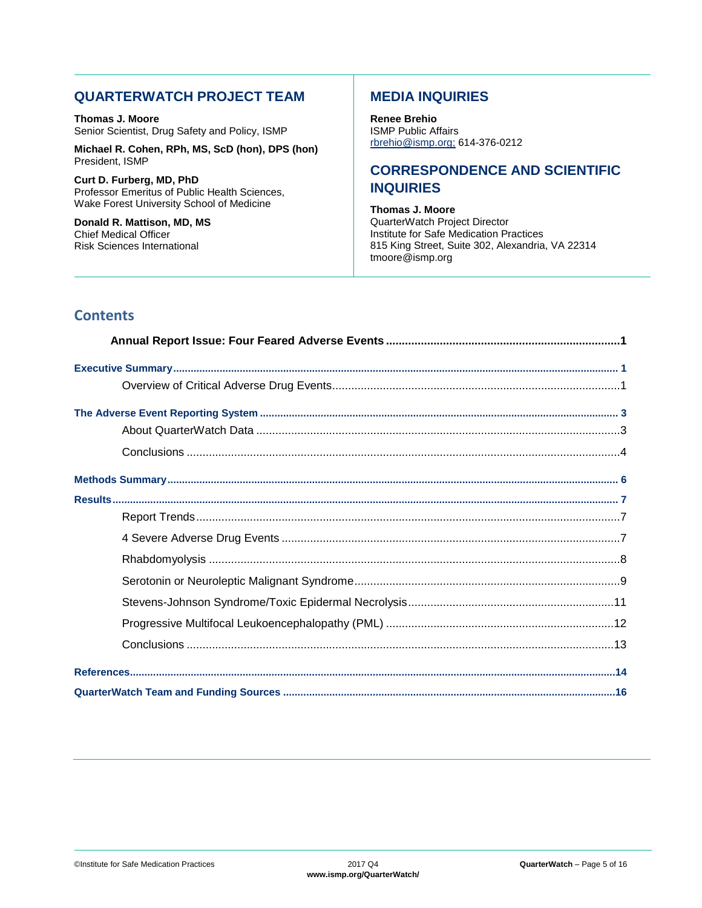#### **QUARTERWATCH PROJECT TEAM**

**Thomas J. Moore** Senior Scientist, Drug Safety and Policy, ISMP

**Michael R. Cohen, RPh, MS, ScD (hon), DPS (hon)** President, ISMP

**Curt D. Furberg, MD, PhD** Professor Emeritus of Public Health Sciences, Wake Forest University School of Medicine

**Donald R. Mattison, MD, MS** Chief Medical Officer Risk Sciences International

#### **MEDIA INQUIRIES**

**Renee Brehio** ISMP Public Affairs [rbrehio@ismp.org;](mailto:rbrehio@ismp.org) 614-376-0212

#### **CORRESPONDENCE AND SCIENTIFIC INQUIRIES**

**Thomas J. Moore** QuarterWatch Project Director Institute for Safe Medication Practices 815 King Street, Suite 302, Alexandria, VA 22314 tmoore@ismp.org

### **Contents**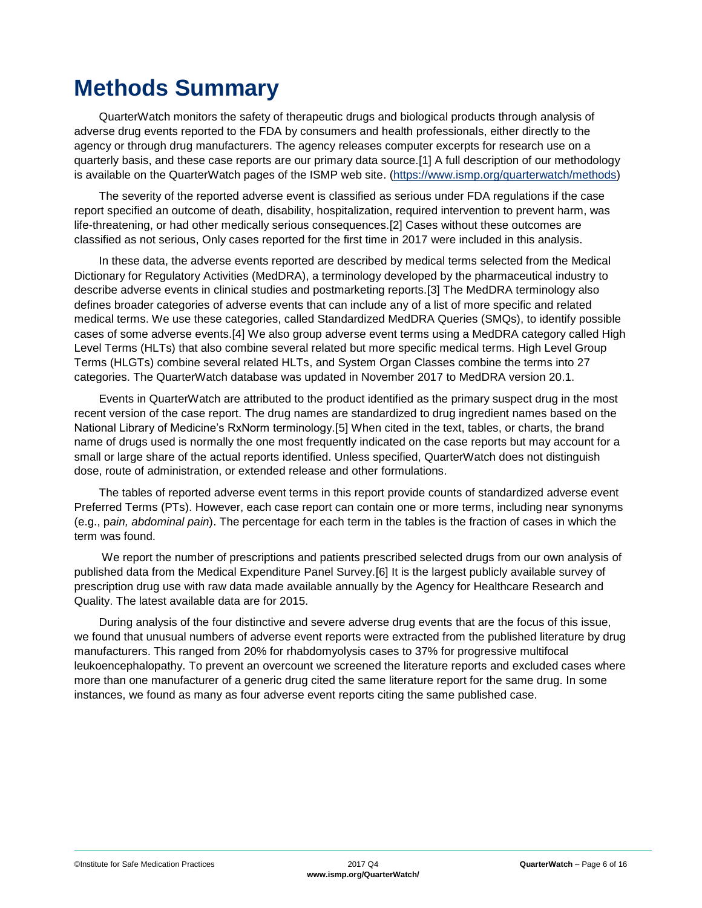# <span id="page-5-0"></span>**Methods Summary**

QuarterWatch monitors the safety of therapeutic drugs and biological products through analysis of adverse drug events reported to the FDA by consumers and health professionals, either directly to the agency or through drug manufacturers. The agency releases computer excerpts for research use on a quarterly basis, and these case reports are our primary data source.[1] A full description of our methodology is available on the QuarterWatch pages of the ISMP web site. [\(https://www.ismp.org/quarterwatch/methods\)](https://www.ismp.org/quarterwatch/methods)

The severity of the reported adverse event is classified as serious under FDA regulations if the case report specified an outcome of death, disability, hospitalization, required intervention to prevent harm, was life-threatening, or had other medically serious consequences.[2] Cases without these outcomes are classified as not serious, Only cases reported for the first time in 2017 were included in this analysis.

In these data, the adverse events reported are described by medical terms selected from the Medical Dictionary for Regulatory Activities (MedDRA), a terminology developed by the pharmaceutical industry to describe adverse events in clinical studies and postmarketing reports.[3] The MedDRA terminology also defines broader categories of adverse events that can include any of a list of more specific and related medical terms. We use these categories, called Standardized MedDRA Queries (SMQs), to identify possible cases of some adverse events.[4] We also group adverse event terms using a MedDRA category called High Level Terms (HLTs) that also combine several related but more specific medical terms. High Level Group Terms (HLGTs) combine several related HLTs, and System Organ Classes combine the terms into 27 categories. The QuarterWatch database was updated in November 2017 to MedDRA version 20.1.

Events in QuarterWatch are attributed to the product identified as the primary suspect drug in the most recent version of the case report. The drug names are standardized to drug ingredient names based on the National Library of Medicine's RxNorm terminology.[5] When cited in the text, tables, or charts, the brand name of drugs used is normally the one most frequently indicated on the case reports but may account for a small or large share of the actual reports identified. Unless specified, QuarterWatch does not distinguish dose, route of administration, or extended release and other formulations.

The tables of reported adverse event terms in this report provide counts of standardized adverse event Preferred Terms (PTs). However, each case report can contain one or more terms, including near synonyms (e.g., p*ain, abdominal pain*). The percentage for each term in the tables is the fraction of cases in which the term was found.

We report the number of prescriptions and patients prescribed selected drugs from our own analysis of published data from the Medical Expenditure Panel Survey.[6] It is the largest publicly available survey of prescription drug use with raw data made available annually by the Agency for Healthcare Research and Quality. The latest available data are for 2015.

During analysis of the four distinctive and severe adverse drug events that are the focus of this issue, we found that unusual numbers of adverse event reports were extracted from the published literature by drug manufacturers. This ranged from 20% for rhabdomyolysis cases to 37% for progressive multifocal leukoencephalopathy. To prevent an overcount we screened the literature reports and excluded cases where more than one manufacturer of a generic drug cited the same literature report for the same drug. In some instances, we found as many as four adverse event reports citing the same published case.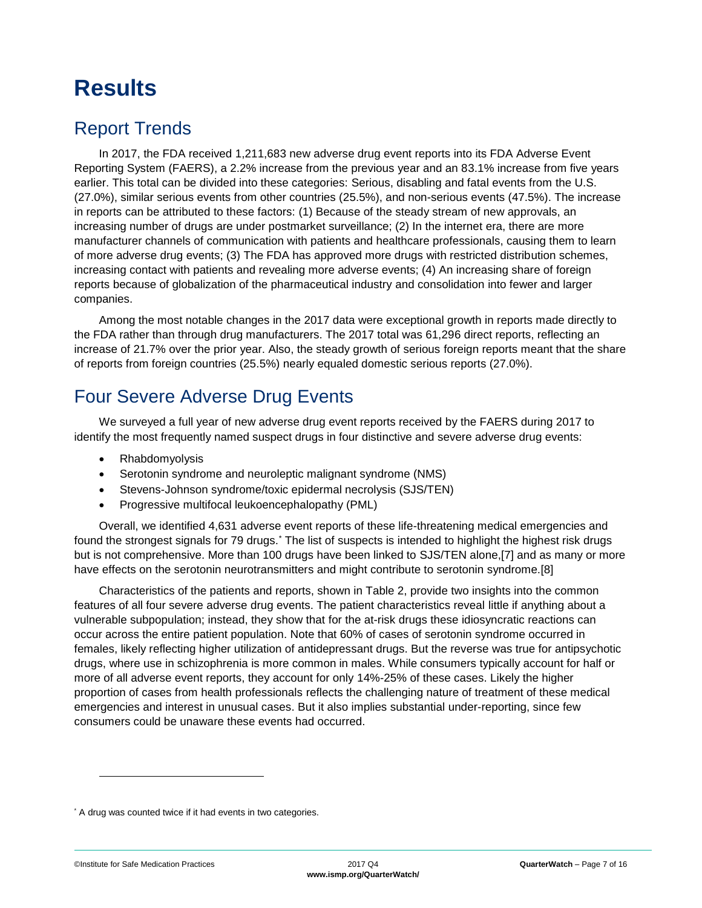# <span id="page-6-0"></span>**Results**

## <span id="page-6-1"></span>Report Trends

In 2017, the FDA received 1,211,683 new adverse drug event reports into its FDA Adverse Event Reporting System (FAERS), a 2.2% increase from the previous year and an 83.1% increase from five years earlier. This total can be divided into these categories: Serious, disabling and fatal events from the U.S. (27.0%), similar serious events from other countries (25.5%), and non-serious events (47.5%). The increase in reports can be attributed to these factors: (1) Because of the steady stream of new approvals, an increasing number of drugs are under postmarket surveillance; (2) In the internet era, there are more manufacturer channels of communication with patients and healthcare professionals, causing them to learn of more adverse drug events; (3) The FDA has approved more drugs with restricted distribution schemes, increasing contact with patients and revealing more adverse events; (4) An increasing share of foreign reports because of globalization of the pharmaceutical industry and consolidation into fewer and larger companies.

Among the most notable changes in the 2017 data were exceptional growth in reports made directly to the FDA rather than through drug manufacturers. The 2017 total was 61,296 direct reports, reflecting an increase of 21.7% over the prior year. Also, the steady growth of serious foreign reports meant that the share of reports from foreign countries (25.5%) nearly equaled domestic serious reports (27.0%).

## <span id="page-6-2"></span>Four Severe Adverse Drug Events

We surveyed a full year of new adverse drug event reports received by the FAERS during 2017 to identify the most frequently named suspect drugs in four distinctive and severe adverse drug events:

- Rhabdomyolysis
- Serotonin syndrome and neuroleptic malignant syndrome (NMS)
- Stevens-Johnson syndrome/toxic epidermal necrolysis (SJS/TEN)
- Progressive multifocal leukoencephalopathy (PML)

Overall, we identified 4,631 adverse event reports of these life-threatening medical emergencies and found the strongest signals for 79 drugs.\* The list of suspects is intended to highlight the highest risk drugs but is not comprehensive. More than 100 drugs have been linked to SJS/TEN alone,[7] and as many or more have effects on the serotonin neurotransmitters and might contribute to serotonin syndrome.[8]

Characteristics of the patients and reports, shown in Table 2, provide two insights into the common features of all four severe adverse drug events. The patient characteristics reveal little if anything about a vulnerable subpopulation; instead, they show that for the at-risk drugs these idiosyncratic reactions can occur across the entire patient population. Note that 60% of cases of serotonin syndrome occurred in females, likely reflecting higher utilization of antidepressant drugs. But the reverse was true for antipsychotic drugs, where use in schizophrenia is more common in males. While consumers typically account for half or more of all adverse event reports, they account for only 14%-25% of these cases. Likely the higher proportion of cases from health professionals reflects the challenging nature of treatment of these medical emergencies and interest in unusual cases. But it also implies substantial under-reporting, since few consumers could be unaware these events had occurred.

l

<sup>\*</sup> A drug was counted twice if it had events in two categories.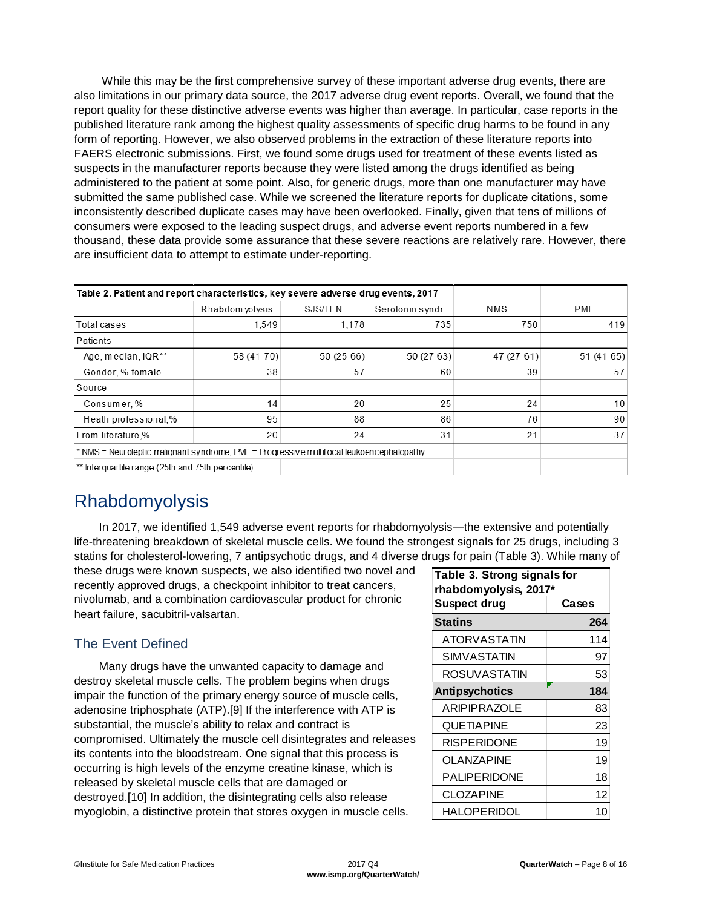While this may be the first comprehensive survey of these important adverse drug events, there are also limitations in our primary data source, the 2017 adverse drug event reports. Overall, we found that the report quality for these distinctive adverse events was higher than average. In particular, case reports in the published literature rank among the highest quality assessments of specific drug harms to be found in any form of reporting. However, we also observed problems in the extraction of these literature reports into FAERS electronic submissions. First, we found some drugs used for treatment of these events listed as suspects in the manufacturer reports because they were listed among the drugs identified as being administered to the patient at some point. Also, for generic drugs, more than one manufacturer may have submitted the same published case. While we screened the literature reports for duplicate citations, some inconsistently described duplicate cases may have been overlooked. Finally, given that tens of millions of consumers were exposed to the leading suspect drugs, and adverse event reports numbered in a few thousand, these data provide some assurance that these severe reactions are relatively rare. However, there are insufficient data to attempt to estimate under-reporting.

| Table 2. Patient and report characteristics, key severe adverse drug events, 2017        |                  |             |                  |            |                 |
|------------------------------------------------------------------------------------------|------------------|-------------|------------------|------------|-----------------|
|                                                                                          | Rhabdom volvs is | SJS/TEN     | Serotonin syndr. | NMS        | <b>PML</b>      |
| Total cases                                                                              | 1,549            | 1,178       | 735              | 750        | 419             |
| Patients                                                                                 |                  |             |                  |            |                 |
| Age, median, IQR**                                                                       | 58 (41-70)       | $50(25-66)$ | 50 (27-63)       | 47 (27-61) | $51(41-65)$     |
| Gender, % female                                                                         | 38               | 57          | 60               | 39         | 57              |
| Source                                                                                   |                  |             |                  |            |                 |
| Consumer, %                                                                              | 14               | 20          | 25               | 24         | 10 <sup>1</sup> |
| Heath professional,%                                                                     | 95               | 88          | 86               | 76         | 90              |
| From literature.%                                                                        | 20               | 24          | 31               | 21         | 37              |
| * NMS = Neuroleptic malignant syndrome; PML = Progressive multifocal leukoencephalopathy |                  |             |                  |            |                 |
| ** Interguartile range (25th and 75th percentile)                                        |                  |             |                  |            |                 |

### <span id="page-7-0"></span>Rhabdomyolysis

In 2017, we identified 1,549 adverse event reports for rhabdomyolysis—the extensive and potentially life-threatening breakdown of skeletal muscle cells. We found the strongest signals for 25 drugs, including 3 statins for cholesterol-lowering, 7 antipsychotic drugs, and 4 diverse drugs for pain (Table 3). While many of

these drugs were known suspects, we also identified two novel and recently approved drugs, a checkpoint inhibitor to treat cancers, nivolumab, and a combination cardiovascular product for chronic heart failure, sacubitril-valsartan.

### The Event Defined

Many drugs have the unwanted capacity to damage and destroy skeletal muscle cells. The problem begins when drugs impair the function of the primary energy source of muscle cells, adenosine triphosphate (ATP).[9] If the interference with ATP is substantial, the muscle's ability to relax and contract is compromised. Ultimately the muscle cell disintegrates and releases its contents into the bloodstream. One signal that this process is occurring is high levels of the enzyme creatine kinase, which is released by skeletal muscle cells that are damaged or destroyed.[10] In addition, the disintegrating cells also release myoglobin, a distinctive protein that stores oxygen in muscle cells.

| Table 3. Strong signals for<br>rhabdomyolysis, 2017* |       |  |
|------------------------------------------------------|-------|--|
| <b>Suspect drug</b>                                  | Cases |  |
| Statins                                              | 264   |  |
| ATORVASTATIN                                         | 114   |  |
| SIMVASTATIN                                          | 97    |  |
| ROSUVASTATIN                                         | 53    |  |
| <b>Antipsychotics</b>                                | 184   |  |
| ARIPIPRAZOLE                                         | 83    |  |
| <b>QUETIAPINE</b>                                    | 23    |  |
| <b>RISPERIDONE</b>                                   | 19    |  |
| OLANZAPINE                                           | 19    |  |
| PALIPERIDONE                                         | 18    |  |
| <b>CLOZAPINE</b>                                     | 12    |  |
| HALOPERIDOL                                          | 10    |  |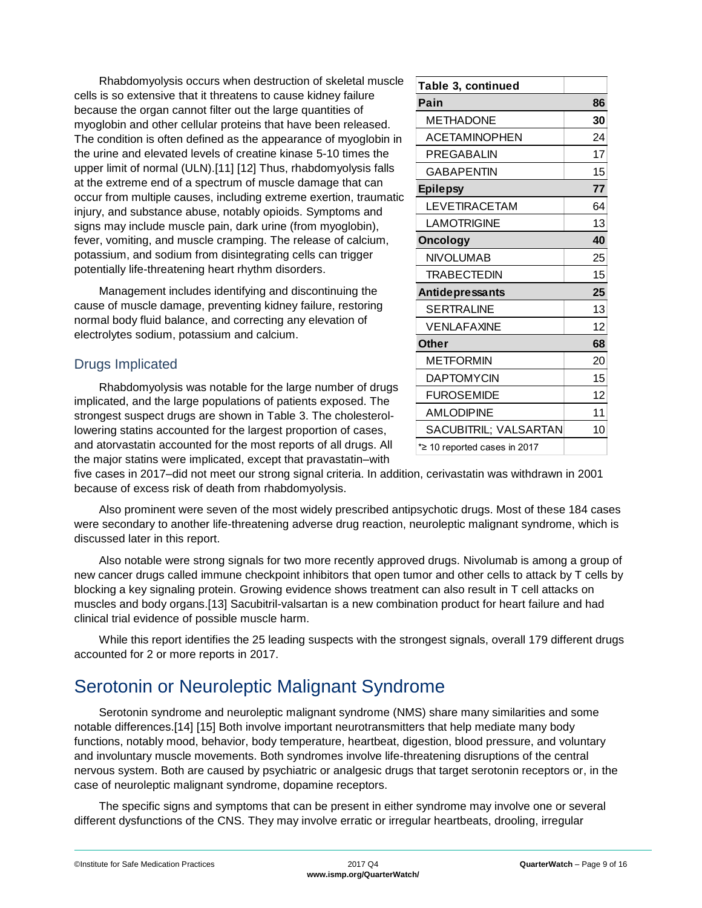Rhabdomyolysis occurs when destruction of skeletal muscle cells is so extensive that it threatens to cause kidney failure because the organ cannot filter out the large quantities of myoglobin and other cellular proteins that have been released. The condition is often defined as the appearance of myoglobin in the urine and elevated levels of creatine kinase 5-10 times the upper limit of normal (ULN).[11] [12] Thus, rhabdomyolysis falls at the extreme end of a spectrum of muscle damage that can occur from multiple causes, including extreme exertion, traumatic injury, and substance abuse, notably opioids. Symptoms and signs may include muscle pain, dark urine (from myoglobin), fever, vomiting, and muscle cramping. The release of calcium, potassium, and sodium from disintegrating cells can trigger potentially life-threatening heart rhythm disorders.

Management includes identifying and discontinuing the cause of muscle damage, preventing kidney failure, restoring normal body fluid balance, and correcting any elevation of electrolytes sodium, potassium and calcium.

### Drugs Implicated

Rhabdomyolysis was notable for the large number of drugs implicated, and the large populations of patients exposed. The strongest suspect drugs are shown in Table 3. The cholesterollowering statins accounted for the largest proportion of cases, and atorvastatin accounted for the most reports of all drugs. All the major statins were implicated, except that pravastatin–with

| Table 3, continued           |    |
|------------------------------|----|
| Pain                         | 86 |
| METHADONE                    | 30 |
| <b>ACETAMINOPHEN</b>         | 24 |
| PREGABALIN                   | 17 |
| <b>GABAPENTIN</b>            | 15 |
| <b>Epilepsy</b>              | 77 |
| <b>LEVETIRACETAM</b>         | 64 |
| <b>LAMOTRIGINE</b>           | 13 |
| <b>Oncology</b>              | 40 |
| <b>NIVOLUMAB</b>             | 25 |
| <b>TRABECTEDIN</b>           | 15 |
| Antidepressants              | 25 |
| <b>SERTRALINE</b>            | 13 |
| <b>VENLAFAXINE</b>           | 12 |
| <b>Other</b>                 | 68 |
| <b>METFORMIN</b>             | 20 |
| <b>DAPTOMYCIN</b>            | 15 |
| <b>FUROSEMIDE</b>            | 12 |
| <b>AMLODIPINE</b>            | 11 |
| SACUBITRIL; VALSARTAN        | 10 |
| *2 10 reported cases in 2017 |    |

five cases in 2017–did not meet our strong signal criteria. In addition, cerivastatin was withdrawn in 2001 because of excess risk of death from rhabdomyolysis.

Also prominent were seven of the most widely prescribed antipsychotic drugs. Most of these 184 cases were secondary to another life-threatening adverse drug reaction, neuroleptic malignant syndrome, which is discussed later in this report.

Also notable were strong signals for two more recently approved drugs. Nivolumab is among a group of new cancer drugs called immune checkpoint inhibitors that open tumor and other cells to attack by T cells by blocking a key signaling protein. Growing evidence shows treatment can also result in T cell attacks on muscles and body organs.[13] Sacubitril-valsartan is a new combination product for heart failure and had clinical trial evidence of possible muscle harm.

While this report identifies the 25 leading suspects with the strongest signals, overall 179 different drugs accounted for 2 or more reports in 2017.

## <span id="page-8-0"></span>Serotonin or Neuroleptic Malignant Syndrome

Serotonin syndrome and neuroleptic malignant syndrome (NMS) share many similarities and some notable differences.[14] [15] Both involve important neurotransmitters that help mediate many body functions, notably mood, behavior, body temperature, heartbeat, digestion, blood pressure, and voluntary and involuntary muscle movements. Both syndromes involve life-threatening disruptions of the central nervous system. Both are caused by psychiatric or analgesic drugs that target serotonin receptors or, in the case of neuroleptic malignant syndrome, dopamine receptors.

The specific signs and symptoms that can be present in either syndrome may involve one or several different dysfunctions of the CNS. They may involve erratic or irregular heartbeats, drooling, irregular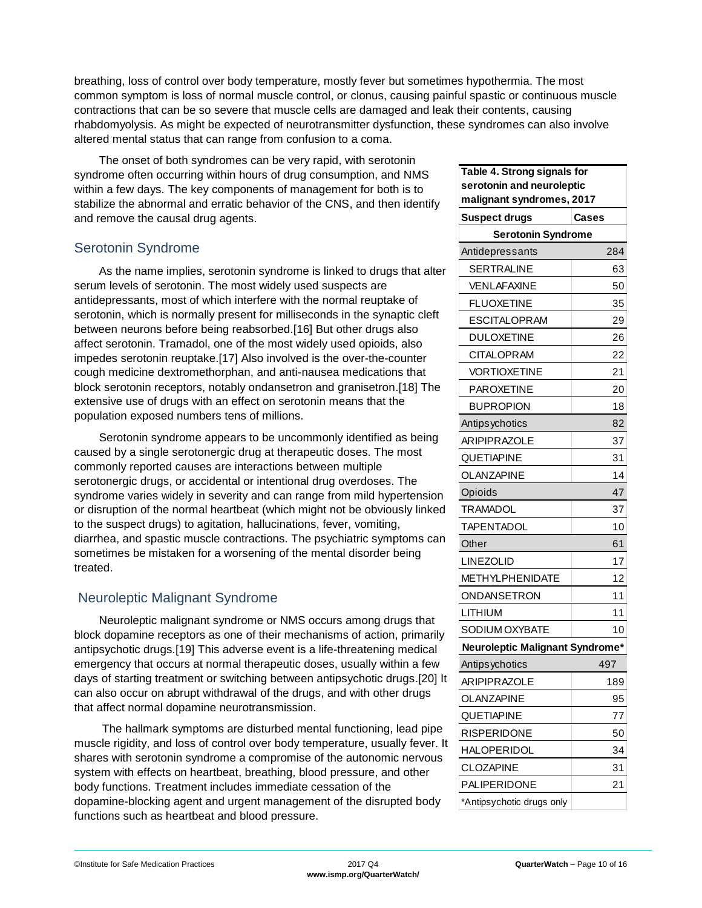breathing, loss of control over body temperature, mostly fever but sometimes hypothermia. The most common symptom is loss of normal muscle control, or clonus, causing painful spastic or continuous muscle contractions that can be so severe that muscle cells are damaged and leak their contents, causing rhabdomyolysis. As might be expected of neurotransmitter dysfunction, these syndromes can also involve altered mental status that can range from confusion to a coma.

The onset of both syndromes can be very rapid, with serotonin syndrome often occurring within hours of drug consumption, and NMS within a few days. The key components of management for both is to stabilize the abnormal and erratic behavior of the CNS, and then identify and remove the causal drug agents.

#### Serotonin Syndrome

As the name implies, serotonin syndrome is linked to drugs that alter serum levels of serotonin. The most widely used suspects are antidepressants, most of which interfere with the normal reuptake of serotonin, which is normally present for milliseconds in the synaptic cleft between neurons before being reabsorbed.[16] But other drugs also affect serotonin. Tramadol, one of the most widely used opioids, also impedes serotonin reuptake.[17] Also involved is the over-the-counter cough medicine dextromethorphan, and anti-nausea medications that block serotonin receptors, notably ondansetron and granisetron.[18] The extensive use of drugs with an effect on serotonin means that the population exposed numbers tens of millions.

Serotonin syndrome appears to be uncommonly identified as being caused by a single serotonergic drug at therapeutic doses. The most commonly reported causes are interactions between multiple serotonergic drugs, or accidental or intentional drug overdoses. The syndrome varies widely in severity and can range from mild hypertension or disruption of the normal heartbeat (which might not be obviously linked to the suspect drugs) to agitation, hallucinations, fever, vomiting, diarrhea, and spastic muscle contractions. The psychiatric symptoms can sometimes be mistaken for a worsening of the mental disorder being treated.

### Neuroleptic Malignant Syndrome

Neuroleptic malignant syndrome or NMS occurs among drugs that block dopamine receptors as one of their mechanisms of action, primarily antipsychotic drugs.[19] This adverse event is a life-threatening medical emergency that occurs at normal therapeutic doses, usually within a few days of starting treatment or switching between antipsychotic drugs.[20] It can also occur on abrupt withdrawal of the drugs, and with other drugs that affect normal dopamine neurotransmission.

The hallmark symptoms are disturbed mental functioning, lead pipe muscle rigidity, and loss of control over body temperature, usually fever. It shares with serotonin syndrome a compromise of the autonomic nervous system with effects on heartbeat, breathing, blood pressure, and other body functions. Treatment includes immediate cessation of the dopamine-blocking agent and urgent management of the disrupted body functions such as heartbeat and blood pressure.

| Table 4. Strong signals for          |       |  |  |
|--------------------------------------|-------|--|--|
| serotonin and neuroleptic            |       |  |  |
| malignant syndromes, 2017            |       |  |  |
| <b>Suspect drugs</b>                 | Cases |  |  |
| <b>Serotonin Syndrome</b>            | 284   |  |  |
| Antidepressants<br><b>SERTRALINE</b> | 63    |  |  |
| <b>VENLAFAXINE</b>                   | 50    |  |  |
| <b>FLUOXETINE</b>                    | 35    |  |  |
| <b>ESCITALOPRAM</b>                  | 29    |  |  |
| <b>DULOXETINE</b>                    | 26    |  |  |
| <b>CITALOPRAM</b>                    | 22    |  |  |
| <b>VORTIOXETINE</b>                  | 21    |  |  |
| <b>PAROXETINE</b>                    | 20    |  |  |
| <b>BUPROPION</b>                     | 18    |  |  |
| Antipsychotics                       | 82    |  |  |
| <b>ARIPIPRAZOLE</b>                  | 37    |  |  |
| QUETIAPINE                           | 31    |  |  |
| OLANZAPINE                           | 14    |  |  |
| Opioids                              | 47    |  |  |
| TRAMADOL                             | 37    |  |  |
| TAPENTADOL                           | 10    |  |  |
| Other                                | 61    |  |  |
| LINEZOLID                            | 17    |  |  |
| METHYLPHENIDATE                      | 12    |  |  |
| ONDANSETRON                          | 11    |  |  |
| LITHIUM                              | 11    |  |  |
| SODIUM OXYBATE                       | 10    |  |  |
| Neuroleptic Malignant Syndrome*      |       |  |  |
| Antipsychotics                       | 497   |  |  |
| <b>ARIPIPRAZOLE</b>                  | 189   |  |  |
| OLANZAPINE                           | 95    |  |  |
| QUETIAPINE                           | 77    |  |  |
| RISPERIDONE                          | 50    |  |  |
| <b>HALOPERIDOL</b>                   | 34    |  |  |
| CLOZAPINE                            | 31    |  |  |
| PALIPERIDONE                         | 21    |  |  |
| *Antipsychotic drugs only            |       |  |  |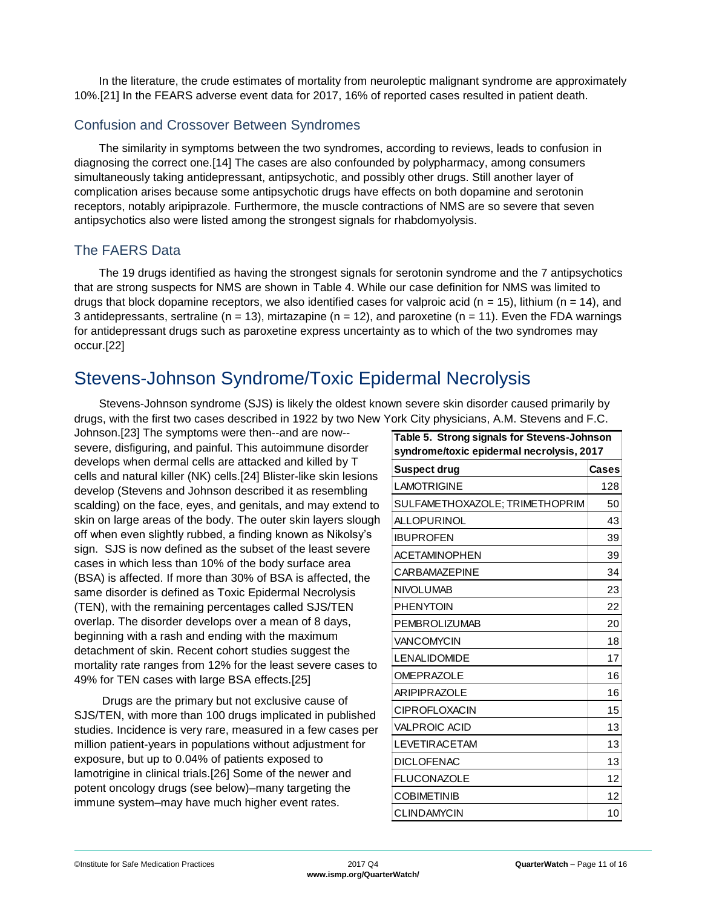In the literature, the crude estimates of mortality from neuroleptic malignant syndrome are approximately 10%.[21] In the FEARS adverse event data for 2017, 16% of reported cases resulted in patient death.

#### Confusion and Crossover Between Syndromes

The similarity in symptoms between the two syndromes, according to reviews, leads to confusion in diagnosing the correct one.[14] The cases are also confounded by polypharmacy, among consumers simultaneously taking antidepressant, antipsychotic, and possibly other drugs. Still another layer of complication arises because some antipsychotic drugs have effects on both dopamine and serotonin receptors, notably aripiprazole. Furthermore, the muscle contractions of NMS are so severe that seven antipsychotics also were listed among the strongest signals for rhabdomyolysis.

#### The FAERS Data

The 19 drugs identified as having the strongest signals for serotonin syndrome and the 7 antipsychotics that are strong suspects for NMS are shown in Table 4. While our case definition for NMS was limited to drugs that block dopamine receptors, we also identified cases for valproic acid ( $n = 15$ ), lithium ( $n = 14$ ), and 3 antidepressants, sertraline (n = 13), mirtazapine (n = 12), and paroxetine (n = 11). Even the FDA warnings for antidepressant drugs such as paroxetine express uncertainty as to which of the two syndromes may occur.[22]

## <span id="page-10-0"></span>Stevens-Johnson Syndrome/Toxic Epidermal Necrolysis

Stevens-Johnson syndrome (SJS) is likely the oldest known severe skin disorder caused primarily by drugs, with the first two cases described in 1922 by two New York City physicians, A.M. Stevens and F.C.

Johnson.[23] The symptoms were then--and are now- severe, disfiguring, and painful. This autoimmune disorder develops when dermal cells are attacked and killed by T cells and natural killer (NK) cells.[24] Blister-like skin lesions develop (Stevens and Johnson described it as resembling scalding) on the face, eyes, and genitals, and may extend to skin on large areas of the body. The outer skin layers slough off when even slightly rubbed, a finding known as Nikolsy's sign. SJS is now defined as the subset of the least severe cases in which less than 10% of the body surface area (BSA) is affected. If more than 30% of BSA is affected, the same disorder is defined as Toxic Epidermal Necrolysis (TEN), with the remaining percentages called SJS/TEN overlap. The disorder develops over a mean of 8 days, beginning with a rash and ending with the maximum detachment of skin. Recent cohort studies suggest the mortality rate ranges from 12% for the least severe cases to 49% for TEN cases with large BSA effects.[25]

Drugs are the primary but not exclusive cause of SJS/TEN, with more than 100 drugs implicated in published studies. Incidence is very rare, measured in a few cases per million patient-years in populations without adjustment for exposure, but up to 0.04% of patients exposed to lamotrigine in clinical trials.[26] Some of the newer and potent oncology drugs (see below)–many targeting the immune system–may have much higher event rates.

| Table 5. Strong signals for Stevens-Johnson<br>syndrome/toxic epidermal necrolysis, 2017 |       |  |
|------------------------------------------------------------------------------------------|-------|--|
| <b>Suspect drug</b>                                                                      | Cases |  |
| <b>LAMOTRIGINE</b>                                                                       | 128   |  |
| SULFAMETHOXAZOLE; TRIMETHOPRIM                                                           | 50    |  |
| <b>ALLOPURINOL</b>                                                                       | 43    |  |
| <b>IBUPROFEN</b>                                                                         | 39    |  |
| <b>ACETAMINOPHEN</b>                                                                     | 39    |  |
| <b>CARBAMAZEPINE</b>                                                                     | 34    |  |
| <b>NIVOLUMAB</b>                                                                         | 23    |  |
| <b>PHENYTOIN</b>                                                                         | 22    |  |
| <b>PEMBROLIZUMAB</b>                                                                     | 20    |  |
| VANCOMYCIN                                                                               | 18    |  |
| <b>LENALIDOMIDE</b>                                                                      | 17    |  |
| <b>OMEPRAZOLE</b>                                                                        | 16    |  |
| <b>ARIPIPRAZOLE</b>                                                                      | 16    |  |
| <b>CIPROFLOXACIN</b>                                                                     | 15    |  |
| <b>VALPROIC ACID</b>                                                                     | 13    |  |
| <b>LEVETIRACETAM</b>                                                                     | 13    |  |
| <b>DICLOFENAC</b>                                                                        | 13    |  |
| <b>FLUCONAZOLE</b>                                                                       | 12    |  |
| <b>COBIMETINIB</b>                                                                       | 12    |  |
| <b>CLINDAMYCIN</b>                                                                       | 10    |  |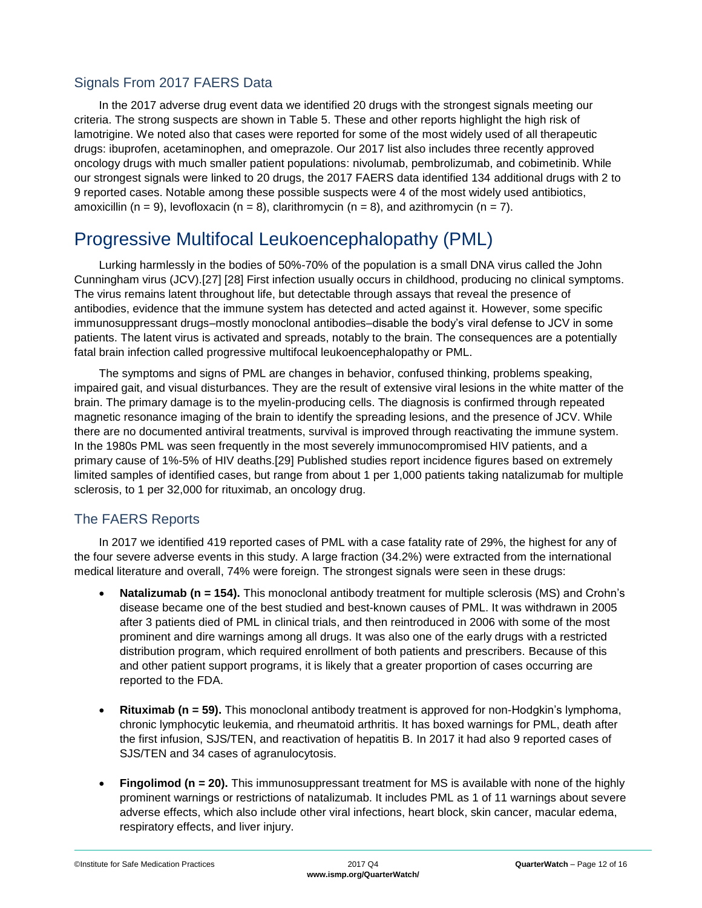#### Signals From 2017 FAERS Data

In the 2017 adverse drug event data we identified 20 drugs with the strongest signals meeting our criteria. The strong suspects are shown in Table 5. These and other reports highlight the high risk of lamotrigine. We noted also that cases were reported for some of the most widely used of all therapeutic drugs: ibuprofen, acetaminophen, and omeprazole. Our 2017 list also includes three recently approved oncology drugs with much smaller patient populations: nivolumab, pembrolizumab, and cobimetinib. While our strongest signals were linked to 20 drugs, the 2017 FAERS data identified 134 additional drugs with 2 to 9 reported cases. Notable among these possible suspects were 4 of the most widely used antibiotics, amoxicillin (n = 9), levofloxacin (n = 8), clarithromycin (n = 8), and azithromycin (n = 7).

## <span id="page-11-0"></span>Progressive Multifocal Leukoencephalopathy (PML)

Lurking harmlessly in the bodies of 50%-70% of the population is a small DNA virus called the John Cunningham virus (JCV).[27] [28] First infection usually occurs in childhood, producing no clinical symptoms. The virus remains latent throughout life, but detectable through assays that reveal the presence of antibodies, evidence that the immune system has detected and acted against it. However, some specific immunosuppressant drugs–mostly monoclonal antibodies–disable the body's viral defense to JCV in some patients. The latent virus is activated and spreads, notably to the brain. The consequences are a potentially fatal brain infection called progressive multifocal leukoencephalopathy or PML.

The symptoms and signs of PML are changes in behavior, confused thinking, problems speaking, impaired gait, and visual disturbances. They are the result of extensive viral lesions in the white matter of the brain. The primary damage is to the myelin-producing cells. The diagnosis is confirmed through repeated magnetic resonance imaging of the brain to identify the spreading lesions, and the presence of JCV. While there are no documented antiviral treatments, survival is improved through reactivating the immune system. In the 1980s PML was seen frequently in the most severely immunocompromised HIV patients, and a primary cause of 1%-5% of HIV deaths.[29] Published studies report incidence figures based on extremely limited samples of identified cases, but range from about 1 per 1,000 patients taking natalizumab for multiple sclerosis, to 1 per 32,000 for rituximab, an oncology drug.

### The FAERS Reports

In 2017 we identified 419 reported cases of PML with a case fatality rate of 29%, the highest for any of the four severe adverse events in this study. A large fraction (34.2%) were extracted from the international medical literature and overall, 74% were foreign. The strongest signals were seen in these drugs:

- **Natalizumab (n = 154).** This monoclonal antibody treatment for multiple sclerosis (MS) and Crohn's disease became one of the best studied and best-known causes of PML. It was withdrawn in 2005 after 3 patients died of PML in clinical trials, and then reintroduced in 2006 with some of the most prominent and dire warnings among all drugs. It was also one of the early drugs with a restricted distribution program, which required enrollment of both patients and prescribers. Because of this and other patient support programs, it is likely that a greater proportion of cases occurring are reported to the FDA.
- **Rituximab (n = 59).** This monoclonal antibody treatment is approved for non-Hodgkin's lymphoma, chronic lymphocytic leukemia, and rheumatoid arthritis. It has boxed warnings for PML, death after the first infusion, SJS/TEN, and reactivation of hepatitis B. In 2017 it had also 9 reported cases of SJS/TEN and 34 cases of agranulocytosis.
- **Fingolimod (n = 20).** This immunosuppressant treatment for MS is available with none of the highly prominent warnings or restrictions of natalizumab. It includes PML as 1 of 11 warnings about severe adverse effects, which also include other viral infections, heart block, skin cancer, macular edema, respiratory effects, and liver injury.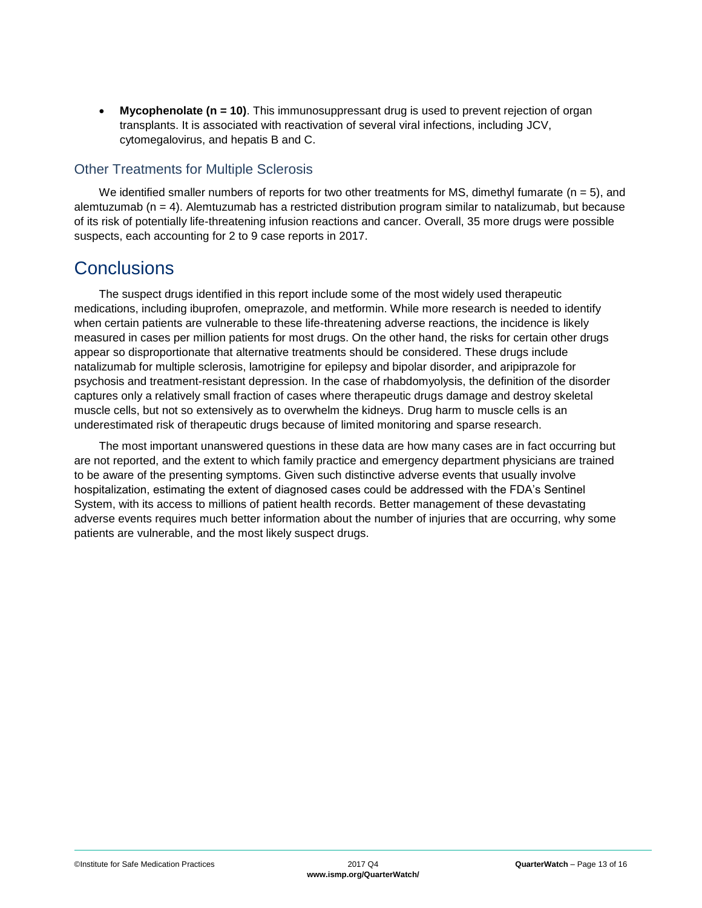• **Mycophenolate (n = 10)**. This immunosuppressant drug is used to prevent rejection of organ transplants. It is associated with reactivation of several viral infections, including JCV, cytomegalovirus, and hepatis B and C.

#### Other Treatments for Multiple Sclerosis

We identified smaller numbers of reports for two other treatments for MS, dimethyl fumarate ( $n = 5$ ), and alemtuzumab (n = 4). Alemtuzumab has a restricted distribution program similar to natalizumab, but because of its risk of potentially life-threatening infusion reactions and cancer. Overall, 35 more drugs were possible suspects, each accounting for 2 to 9 case reports in 2017.

### <span id="page-12-0"></span>**Conclusions**

The suspect drugs identified in this report include some of the most widely used therapeutic medications, including ibuprofen, omeprazole, and metformin. While more research is needed to identify when certain patients are vulnerable to these life-threatening adverse reactions, the incidence is likely measured in cases per million patients for most drugs. On the other hand, the risks for certain other drugs appear so disproportionate that alternative treatments should be considered. These drugs include natalizumab for multiple sclerosis, lamotrigine for epilepsy and bipolar disorder, and aripiprazole for psychosis and treatment-resistant depression. In the case of rhabdomyolysis, the definition of the disorder captures only a relatively small fraction of cases where therapeutic drugs damage and destroy skeletal muscle cells, but not so extensively as to overwhelm the kidneys. Drug harm to muscle cells is an underestimated risk of therapeutic drugs because of limited monitoring and sparse research.

The most important unanswered questions in these data are how many cases are in fact occurring but are not reported, and the extent to which family practice and emergency department physicians are trained to be aware of the presenting symptoms. Given such distinctive adverse events that usually involve hospitalization, estimating the extent of diagnosed cases could be addressed with the FDA's Sentinel System, with its access to millions of patient health records. Better management of these devastating adverse events requires much better information about the number of injuries that are occurring, why some patients are vulnerable, and the most likely suspect drugs.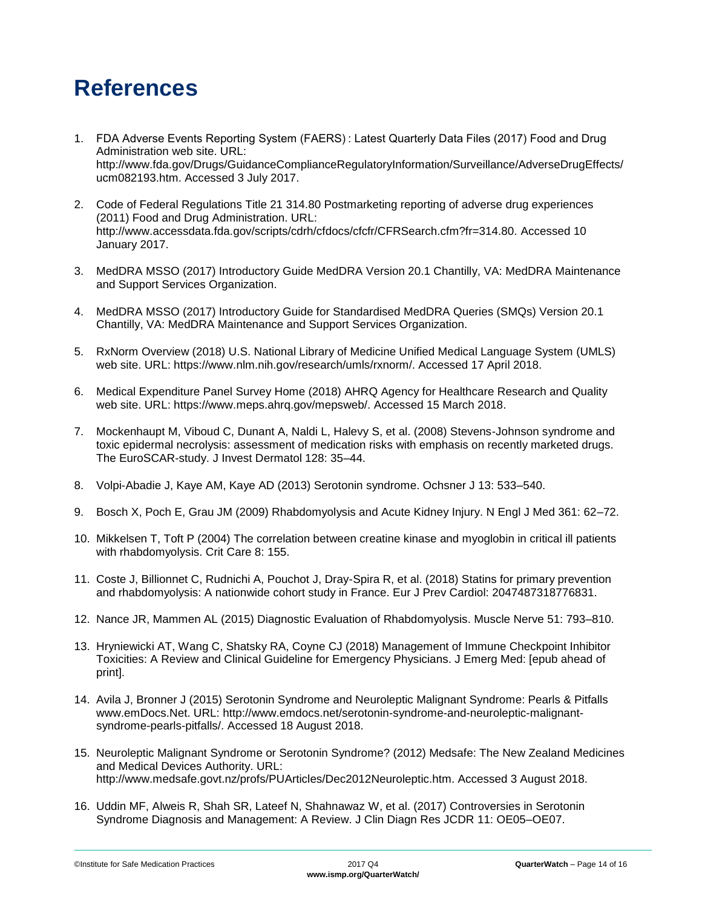# <span id="page-13-0"></span>**References**

- 1. FDA Adverse Events Reporting System (FAERS) : Latest Quarterly Data Files (2017) Food and Drug Administration web site. URL: http://www.fda.gov/Drugs/GuidanceComplianceRegulatoryInformation/Surveillance/AdverseDrugEffects/ ucm082193.htm. Accessed 3 July 2017.
- 2. Code of Federal Regulations Title 21 314.80 Postmarketing reporting of adverse drug experiences (2011) Food and Drug Administration. URL: http://www.accessdata.fda.gov/scripts/cdrh/cfdocs/cfcfr/CFRSearch.cfm?fr=314.80. Accessed 10 January 2017.
- 3. MedDRA MSSO (2017) Introductory Guide MedDRA Version 20.1 Chantilly, VA: MedDRA Maintenance and Support Services Organization.
- 4. MedDRA MSSO (2017) Introductory Guide for Standardised MedDRA Queries (SMQs) Version 20.1 Chantilly, VA: MedDRA Maintenance and Support Services Organization.
- 5. RxNorm Overview (2018) U.S. National Library of Medicine Unified Medical Language System (UMLS) web site. URL: https://www.nlm.nih.gov/research/umls/rxnorm/. Accessed 17 April 2018.
- 6. Medical Expenditure Panel Survey Home (2018) AHRQ Agency for Healthcare Research and Quality web site. URL: https://www.meps.ahrq.gov/mepsweb/. Accessed 15 March 2018.
- 7. Mockenhaupt M, Viboud C, Dunant A, Naldi L, Halevy S, et al. (2008) Stevens-Johnson syndrome and toxic epidermal necrolysis: assessment of medication risks with emphasis on recently marketed drugs. The EuroSCAR-study. J Invest Dermatol 128: 35–44.
- 8. Volpi-Abadie J, Kaye AM, Kaye AD (2013) Serotonin syndrome. Ochsner J 13: 533–540.
- 9. Bosch X, Poch E, Grau JM (2009) Rhabdomyolysis and Acute Kidney Injury. N Engl J Med 361: 62–72.
- 10. Mikkelsen T, Toft P (2004) The correlation between creatine kinase and myoglobin in critical ill patients with rhabdomyolysis. Crit Care 8: 155.
- 11. Coste J, Billionnet C, Rudnichi A, Pouchot J, Dray-Spira R, et al. (2018) Statins for primary prevention and rhabdomyolysis: A nationwide cohort study in France. Eur J Prev Cardiol: 2047487318776831.
- 12. Nance JR, Mammen AL (2015) Diagnostic Evaluation of Rhabdomyolysis. Muscle Nerve 51: 793–810.
- 13. Hryniewicki AT, Wang C, Shatsky RA, Coyne CJ (2018) Management of Immune Checkpoint Inhibitor Toxicities: A Review and Clinical Guideline for Emergency Physicians. J Emerg Med: [epub ahead of print].
- 14. Avila J, Bronner J (2015) Serotonin Syndrome and Neuroleptic Malignant Syndrome: Pearls & Pitfalls www.emDocs.Net. URL: http://www.emdocs.net/serotonin-syndrome-and-neuroleptic-malignantsyndrome-pearls-pitfalls/. Accessed 18 August 2018.
- 15. Neuroleptic Malignant Syndrome or Serotonin Syndrome? (2012) Medsafe: The New Zealand Medicines and Medical Devices Authority. URL: http://www.medsafe.govt.nz/profs/PUArticles/Dec2012Neuroleptic.htm. Accessed 3 August 2018.
- 16. Uddin MF, Alweis R, Shah SR, Lateef N, Shahnawaz W, et al. (2017) Controversies in Serotonin Syndrome Diagnosis and Management: A Review. J Clin Diagn Res JCDR 11: OE05–OE07.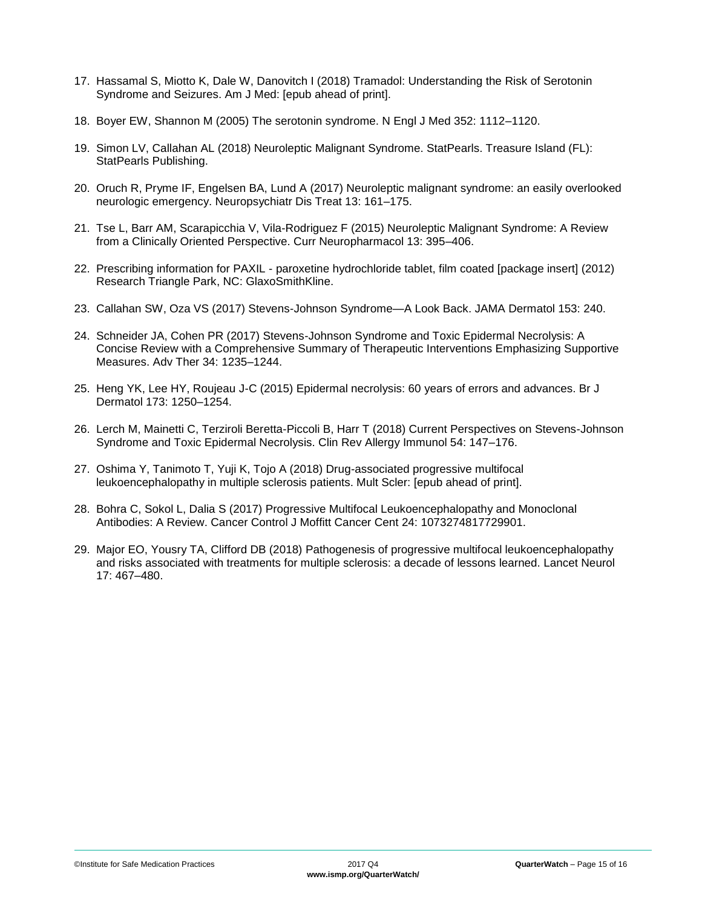- 17. Hassamal S, Miotto K, Dale W, Danovitch I (2018) Tramadol: Understanding the Risk of Serotonin Syndrome and Seizures. Am J Med: [epub ahead of print].
- 18. Boyer EW, Shannon M (2005) The serotonin syndrome. N Engl J Med 352: 1112–1120.
- 19. Simon LV, Callahan AL (2018) Neuroleptic Malignant Syndrome. StatPearls. Treasure Island (FL): StatPearls Publishing.
- 20. Oruch R, Pryme IF, Engelsen BA, Lund A (2017) Neuroleptic malignant syndrome: an easily overlooked neurologic emergency. Neuropsychiatr Dis Treat 13: 161–175.
- 21. Tse L, Barr AM, Scarapicchia V, Vila-Rodriguez F (2015) Neuroleptic Malignant Syndrome: A Review from a Clinically Oriented Perspective. Curr Neuropharmacol 13: 395–406.
- 22. Prescribing information for PAXIL paroxetine hydrochloride tablet, film coated [package insert] (2012) Research Triangle Park, NC: GlaxoSmithKline.
- 23. Callahan SW, Oza VS (2017) Stevens-Johnson Syndrome—A Look Back. JAMA Dermatol 153: 240.
- 24. Schneider JA, Cohen PR (2017) Stevens-Johnson Syndrome and Toxic Epidermal Necrolysis: A Concise Review with a Comprehensive Summary of Therapeutic Interventions Emphasizing Supportive Measures. Adv Ther 34: 1235–1244.
- 25. Heng YK, Lee HY, Roujeau J-C (2015) Epidermal necrolysis: 60 years of errors and advances. Br J Dermatol 173: 1250–1254.
- 26. Lerch M, Mainetti C, Terziroli Beretta-Piccoli B, Harr T (2018) Current Perspectives on Stevens-Johnson Syndrome and Toxic Epidermal Necrolysis. Clin Rev Allergy Immunol 54: 147–176.
- 27. Oshima Y, Tanimoto T, Yuji K, Tojo A (2018) Drug-associated progressive multifocal leukoencephalopathy in multiple sclerosis patients. Mult Scler: [epub ahead of print].
- 28. Bohra C, Sokol L, Dalia S (2017) Progressive Multifocal Leukoencephalopathy and Monoclonal Antibodies: A Review. Cancer Control J Moffitt Cancer Cent 24: 1073274817729901.
- 29. Major EO, Yousry TA, Clifford DB (2018) Pathogenesis of progressive multifocal leukoencephalopathy and risks associated with treatments for multiple sclerosis: a decade of lessons learned. Lancet Neurol 17: 467–480.